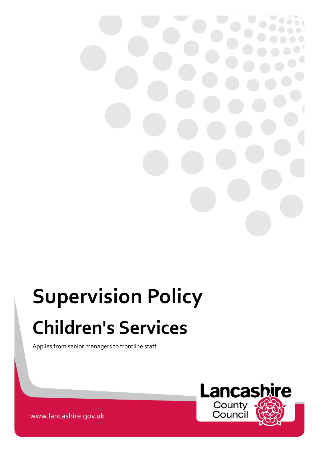

# **Supervision Policy Children's Services**

Applies from senior managers to frontline staff



www.lancashire.gov.uk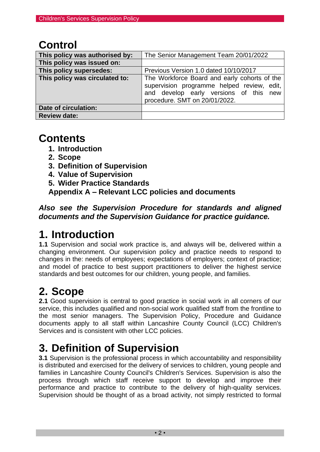## **Control**

| This policy was authorised by: | The Senior Management Team 20/01/2022                                                                                                                                 |
|--------------------------------|-----------------------------------------------------------------------------------------------------------------------------------------------------------------------|
| This policy was issued on:     |                                                                                                                                                                       |
| This policy supersedes:        | Previous Version 1.0 dated 10/10/2017                                                                                                                                 |
| This policy was circulated to: | The Workforce Board and early cohorts of the<br>supervision programme helped review, edit,<br>and develop early versions of this new<br>procedure. SMT on 20/01/2022. |
| Date of circulation:           |                                                                                                                                                                       |
| <b>Review date:</b>            |                                                                                                                                                                       |

## **Contents**

- **1. Introduction**
- **2. Scope**
- **3. Definition of Supervision**
- **4. Value of Supervision**
- **5. Wider Practice Standards**

**Appendix A – Relevant LCC policies and documents**

*Also see the Supervision Procedure for standards and aligned documents and the Supervision Guidance for practice guidance.*

## **1. Introduction**

**1.1** Supervision and social work practice is, and always will be, delivered within a changing environment. Our supervision policy and practice needs to respond to changes in the: needs of employees; expectations of employers; context of practice; and model of practice to best support practitioners to deliver the highest service standards and best outcomes for our children, young people, and families.

## **2. Scope**

**2.1** Good supervision is central to good practice in social work in all corners of our service, this includes qualified and non-social work qualified staff from the frontline to the most senior managers. The Supervision Policy, Procedure and Guidance documents apply to all staff within Lancashire County Council (LCC) Children's Services and is consistent with other LCC policies.

## **3. Definition of Supervision**

**3.1** Supervision is the professional process in which accountability and responsibility is distributed and exercised for the delivery of services to children, young people and families in Lancashire County Council's Children's Services. Supervision is also the process through which staff receive support to develop and improve their performance and practice to contribute to the delivery of high-quality services. Supervision should be thought of as a broad activity, not simply restricted to formal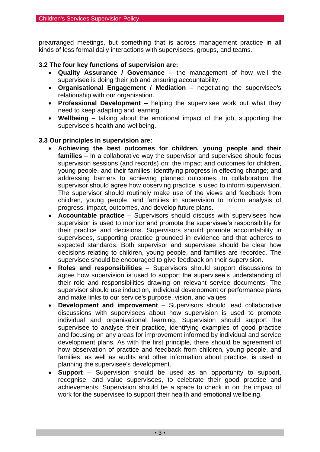prearranged meetings, but something that is across management practice in all kinds of less formal daily interactions with supervisees, groups, and teams.

#### **3.2 The four key functions of supervision are:**

- **Quality Assurance / Governance** the management of how well the supervisee is doing their job and ensuring accountability.
- **Organisational Engagement / Mediation** negotiating the supervisee's relationship with our organisation.
- **Professional Development** helping the supervisee work out what they need to keep adapting and learning.
- **Wellbeing** talking about the emotional impact of the job, supporting the supervisee's health and wellbeing.

#### **3.3 Our principles in supervision are:**

- **Achieving the best outcomes for children, young people and their families** – In a collaborative way the supervisor and supervisee should focus supervision sessions (and records) on: the impact and outcomes for children, young people, and their families; identifying progress in effecting change; and addressing barriers to achieving planned outcomes. In collaboration the supervisor should agree how observing practice is used to inform supervision. The supervisor should routinely make use of the views and feedback from children, young people, and families in supervision to inform analysis of progress, impact, outcomes, and develop future plans.
- **Accountable practice**  Supervisors should discuss with supervisees how supervision is used to monitor and promote the supervisee's responsibility for their practice and decisions. Supervisors should promote accountability in supervisees, supporting practice grounded in evidence and that adheres to expected standards. Both supervisor and supervisee should be clear how decisions relating to children, young people, and families are recorded. The supervisee should be encouraged to give feedback on their supervision.
- **Roles and responsibilities**  Supervisors should support discussions to agree how supervision is used to support the supervisee's understanding of their role and responsibilities drawing on relevant service documents. The supervisor should use induction, individual development or performance plans and make links to our service's purpose, vision, and values.
- **Development and improvement**  Supervisors should lead collaborative discussions with supervisees about how supervision is used to promote individual and organisational learning. Supervision should support the supervisee to analyse their practice, identifying examples of good practice and focusing on any areas for improvement informed by individual and service development plans. As with the first principle, there should be agreement of how observation of practice and feedback from children, young people, and families, as well as audits and other information about practice, is used in planning the supervisee's development.
- **Support** Supervision should be used as an opportunity to support, recognise, and value supervisees, to celebrate their good practice and achievements. Supervision should be a space to check in on the impact of work for the supervisee to support their health and emotional wellbeing.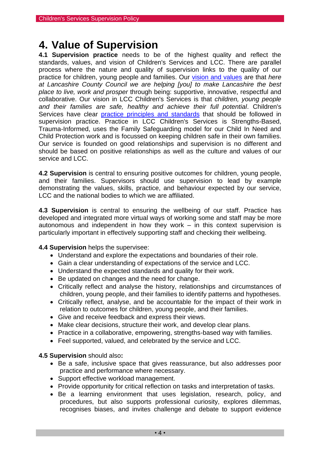## **4. Value of Supervision**

**4.1 Supervision practice** needs to be of the highest quality and reflect the standards, values, and vision of Children's Services and LCC. There are parallel process where the nature and quality of supervision links to the quality of our practice for children, young people and families. Our [vision and values](http://intranet.ad.lancscc.net/about-the-council/our-vision-and-values/) are that *here at Lancashire County Council we are helping [you] to make Lancashire the best place to live, work and prosper* through being: supportive, innovative, respectful and collaborative. Our vision in LCC Children's Services is that *children, young people and their families are safe, healthy and achieve their full potential*. Children's Services have clear [practice principles](https://www.proceduresonline.com/lancashirecsc/p_csc_practice.html) and standards that should be followed in supervision practice. Practice in LCC Children's Services is Strengths-Based, Trauma-Informed, uses the Family Safeguarding model for our Child In Need and Child Protection work and is focussed on keeping children safe in their own families. Our service is founded on good relationships and supervision is no different and should be based on positive relationships as well as the culture and values of our service and LCC.

**4.2 Supervision** is central to ensuring positive outcomes for children, young people, and their families. Supervisors should use supervision to lead by example demonstrating the values, skills, practice, and behaviour expected by our service, LCC and the national bodies to which we are affiliated.

**4.3 Supervision** is central to ensuring the wellbeing of our staff. Practice has developed and integrated more virtual ways of working some and staff may be more autonomous and independent in how they work – in this context supervision is particularly important in effectively supporting staff and checking their wellbeing.

**4.4 Supervision** helps the supervisee:

- Understand and explore the expectations and boundaries of their role.
- Gain a clear understanding of expectations of the service and LCC.
- Understand the expected standards and quality for their work.
- Be updated on changes and the need for change.
- Critically reflect and analyse the history, relationships and circumstances of children, young people, and their families to identify patterns and hypotheses.
- Critically reflect, analyse, and be accountable for the impact of their work in relation to outcomes for children, young people, and their families.
- Give and receive feedback and express their views.
- Make clear decisions, structure their work, and develop clear plans.
- Practice in a collaborative, empowering, strengths-based way with families.
- Feel supported, valued, and celebrated by the service and LCC.

#### **4.5 Supervision** should also**:**

- Be a safe, inclusive space that gives reassurance, but also addresses poor practice and performance where necessary.
- Support effective workload management.
- Provide opportunity for critical reflection on tasks and interpretation of tasks.
- Be a learning environment that uses legislation, research, policy, and procedures, but also supports professional curiosity, explores dilemmas, recognises biases, and invites challenge and debate to support evidence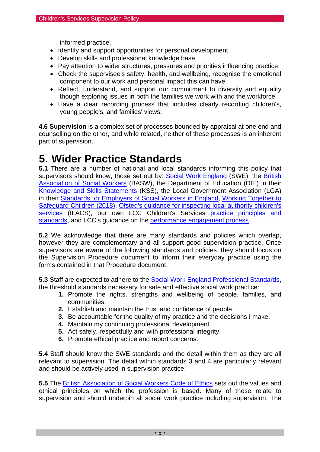informed practice.

- Identify and support opportunities for personal development.
- Develop skills and professional knowledge base.
- Pay attention to wider structures, pressures and priorities influencing practice.
- Check the supervisee's safety, health, and wellbeing, recognise the emotional component to our work and personal impact this can have.
- Reflect, understand, and support our commitment to diversity and equality though exploring issues in both the families we work with and the workforce.
- Have a clear recording process that includes clearly recording children's, young people's, and families' views.

**4.6 Supervision** is a complex set of processes bounded by appraisal at one end and counselling on the other, and while related, neither of these processes is an inherent part of supervision.

## **5. Wider Practice Standards**

**5.1** There are a number of national and local standards informing this policy that supervisors should know, those set out by: [Social Work England](https://www.socialworkengland.org.uk/) (SWE), the British [Association of Social Workers](https://www.basw.co.uk/) (BASW), the Department of Education (DfE) in their [Knowledge and Skills Statements](https://www.gov.uk/government/publications/knowledge-and-skills-statements-for-child-and-family-social-work) (KSS), the Local Government Association (LGA) in their [Standards for Employers of Social Workers in England,](https://www.local.gov.uk/standards-employers-social-workers-england-0) [Working Together to](https://assets.publishing.service.gov.uk/government/uploads/system/uploads/attachment_data/file/779401/Working_Together_to_Safeguard-Children.pdf)  [Safeguard Children \(2018\),](https://assets.publishing.service.gov.uk/government/uploads/system/uploads/attachment_data/file/779401/Working_Together_to_Safeguard-Children.pdf) [Ofsted's guidance for inspecting local authority children's](https://www.gov.uk/government/publications/inspecting-local-authority-childrens-services-from-2018/inspecting-local-authority-childrens-services)  [services](https://www.gov.uk/government/publications/inspecting-local-authority-childrens-services-from-2018/inspecting-local-authority-childrens-services) (ILACS), our own LCC Children's Services practice principles and [standards,](https://www.proceduresonline.com/lancashirecsc/p_csc_practice.html) and LCC's guidance on the [performance engagement process.](http://intranet.ad.lancscc.net/how-do-i/hr-pay-employment/performance-engagement-process-managers-guidance/)

**5.2** We acknowledge that there are many standards and policies which overlap, however they are complementary and all support good supervision practice. Once supervisors are aware of the following standards and policies, they should focus on the Supervision Procedure document to inform their everyday practice using the forms contained in that Procedure document.

**5.3** Staff are expected to adhere to the [Social Work England Professional Standards,](https://www.socialworkengland.org.uk/standards/professional-standards/) the threshold standards necessary for safe and effective social work practice:

- **1.** Promote the rights, strengths and wellbeing of people, families, and communities.
- **2.** Establish and maintain the trust and confidence of people.
- **3.** Be accountable for the quality of my practice and the decisions I make.
- **4.** Maintain my continuing professional development.
- **5.** Act safely, respectfully and with professional integrity.
- **6.** Promote ethical practice and report concerns.

**5.4** Staff should know the SWE standards and the detail within them as they are all relevant to supervision. The detail within standards 3 and 4 are particularly relevant and should be actively used in supervision practice.

**5.5** The British Association [of Social Workers Code of Ethics](https://www.basw.co.uk/about-basw/code-ethics) sets out the values and ethical principles on which the profession is based. Many of these relate to supervision and should underpin all social work practice including supervision. The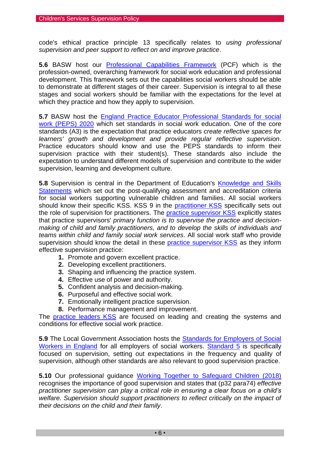code's ethical practice principle 13 specifically relates to *using professional supervision and peer support to reflect on and improve practice*.

**5.6** BASW host our [Professional Capabilities Framework](https://www.basw.co.uk/professional-development/professional-capabilities-framework-pcf/the-pcf) (PCF) which is the profession-owned, overarching framework for social work education and professional development. This framework sets out the capabilities social workers should be able to demonstrate at different stages of their career. Supervision is integral to all these stages and social workers should be familiar with the expectations for the level at which they practice and how they apply to supervision.

**5.7** BASW host the [England Practice Educator Professional Standards for social](https://www.basw.co.uk/resources/basw-england-practice-educator-professional-standards-social-work-peps-2020)  [work \(PEPS\) 2020](https://www.basw.co.uk/resources/basw-england-practice-educator-professional-standards-social-work-peps-2020) which set standards in social work education. One of the core standards (A3) is the expectation that practice educators *create reflective spaces for learners' growth and development and provide regular reflective supervision*. Practice educators should know and use the PEPS standards to inform their supervision practice with their student(s). These standards also include the expectation to understand different models of supervision and contribute to the wider supervision, learning and development culture.

**5.8** Supervision is central in the Department of Education's [Knowledge and Skills](https://www.gov.uk/government/publications/knowledge-and-skills-statements-for-child-and-family-social-work)  [Statements](https://www.gov.uk/government/publications/knowledge-and-skills-statements-for-child-and-family-social-work) which set out the post-qualifying assessment and accreditation criteria for social workers supporting vulnerable children and families. All social workers should know their specific KSS. KSS 9 in the **practitioner KSS** specifically sets out the role of supervision for practitioners. The [practice supervisor KSS](https://assets.publishing.service.gov.uk/government/uploads/system/uploads/attachment_data/file/708705/Post-qualifying_standard-KSS_for_child_and_family_practice_supervisors.pdf) explicitly states that practice supervisors' *primary function is to supervise the practice and decisionmaking of child and family practitioners, and to develop the skills of individuals and teams within child and family social work services*. All social work staff who provide supervision should know the detail in these [practice supervisor KSS](https://assets.publishing.service.gov.uk/government/uploads/system/uploads/attachment_data/file/708705/Post-qualifying_standard-KSS_for_child_and_family_practice_supervisors.pdf) as they inform effective supervision practice:

- **1.** Promote and govern excellent practice.
- **2.** Developing excellent practitioners.
- **3.** Shaping and influencing the practice system.
- **4.** Effective use of power and authority.
- **5.** Confident analysis and decision-making.
- **6.** Purposeful and effective social work.
- **7.** Emotionally intelligent practice supervision.
- **8.** Performance management and improvement.

The **[practice leaders KSS](https://assets.publishing.service.gov.uk/government/uploads/system/uploads/attachment_data/file/691540/Knowledge_and_skills_statement_for_practice_leaders.pdf)** are focused on leading and creating the systems and conditions for effective social work practice.

**5.9** The Local Government Association hosts the [Standards for Employers of Social](https://www.local.gov.uk/standards-employers-social-workers-england-0)  [Workers in England](https://www.local.gov.uk/standards-employers-social-workers-england-0) for all employers of social workers. [Standard 5](https://www.local.gov.uk/standard-5-supervision) is specifically focused on supervision, setting out expectations in the frequency and quality of supervision, although other standards are also relevant to good supervision practice.

**5.10** Our professional guidance [Working Together to Safeguard Children \(2018\)](https://assets.publishing.service.gov.uk/government/uploads/system/uploads/attachment_data/file/779401/Working_Together_to_Safeguard-Children.pdf) recognises the importance of good supervision and states that (p32 para74) *effective practitioner supervision can play a critical role in ensuring a clear focus on a child's welfare. Supervision should support practitioners to reflect critically on the impact of their decisions on the child and their family*.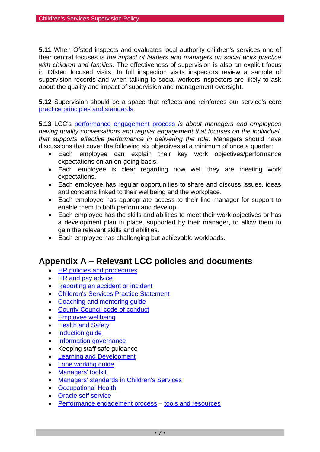**5.11** When Ofsted inspects and evaluates local authority children's services one of their central focuses is *the impact of leaders and managers on social work practice with children and families*. The effectiveness of supervision is also an explicit focus in Ofsted focused visits. In full inspection visits inspectors review a sample of supervision records and when talking to social workers inspectors are likely to ask about the quality and impact of supervision and management oversight.

**5.12** Supervision should be a space that reflects and reinforces our service's core [practice principles and standards.](https://www.proceduresonline.com/lancashirecsc/p_csc_practice.html)

**5.13** LCC's [performance engagement process](http://intranet.ad.lancscc.net/how-do-i/hr-pay-employment/performance-engagement-process-managers-guidance/) *is about managers and employees having quality conversations and regular engagement that focuses on the individual, that supports effective performance in delivering the role*. Managers should have discussions that cover the following six objectives at a minimum of once a quarter:

- Each employee can explain their key work objectives/performance expectations on an on-going basis.
- Each employee is clear regarding how well they are meeting work expectations.
- Each employee has regular opportunities to share and discuss issues, ideas and concerns linked to their wellbeing and the workplace.
- Each employee has appropriate access to their line manager for support to enable them to both perform and develop.
- Each employee has the skills and abilities to meet their work objectives or has a development plan in place, supported by their manager, to allow them to gain the relevant skills and abilities.
- Each employee has challenging but achievable workloads.

### **Appendix A – Relevant LCC policies and documents**

- [HR policies and procedures](http://intranet.ad.lancscc.net/how-do-i/hr-pay-employment/hr-policies-and-procedures/?linkscr=hrcatpage)
- [HR and pay advice](http://intranet.ad.lancscc.net/how-do-i/hr-pay-employment/)
- [Reporting an accident or incident](http://intranet.ad.lancscc.net/how-do-i/health-safety/accident-incident/)
- [Children's Services Practice Statement](http://intranet.ad.lancscc.net/media/5128/childrens-services-practice-statement.pdf)
- Coaching and mentoring quide
- [County Council code of conduct](http://intranet.ad.lancscc.net/how-do-i/hr-pay-employment/hr-policies-and-procedures/county-council-code-of-conduct/)
- [Employee wellbeing](http://lccintranet2/corporate/web/?siteid=5193&pageid=39358)
- [Health and Safety](http://lccintranet2/corporate/web/?siteid=3726&pageid=18222)
- Induction quide
- [Information governance](http://intranet.ad.lancscc.net/how-do-i/information-governance/)
- Keeping staff safe guidance
- [Learning and Development](http://intranet.ad.lancscc.net/learning-training/)
- [Lone working](http://intranet.ad.lancscc.net/how-do-i/health-safety/lone-working/) quide
- [Managers' toolkit](http://intranet.ad.lancscc.net/site/managers-toolkit/)
- [Managers' standards in Children's Services](https://www.proceduresonline.com/lancashirecsc/files/standard_manage.pdf)
- [Occupational Health](http://lccintranet2/corporate/web/?siteid=5859&pageid=33031&e=e)
- [Oracle self service](http://intranet.ad.lancscc.net/how-do-i/hr-pay-employment/oracle/)
- [Performance engagement process](http://intranet.ad.lancscc.net/how-do-i/hr-pay-employment/performance-engagement-process-managers-guidance/) [tools and resources](http://intranet.ad.lancscc.net/how-do-i/hr-pay-employment/performance-engagement-process-managers-guidance/?page=6)